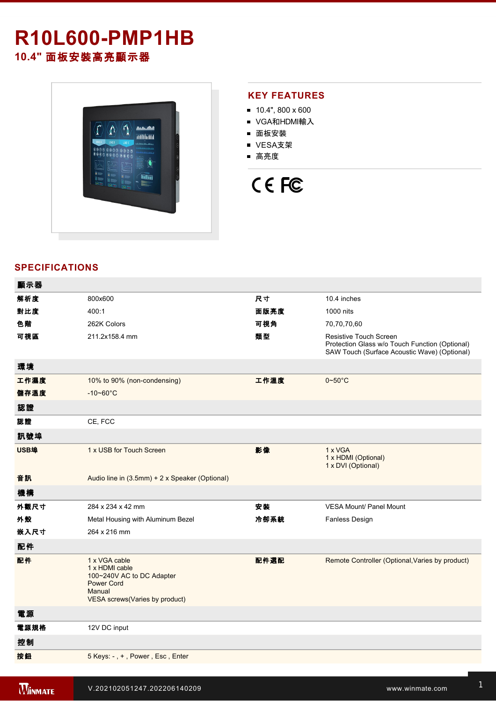# **R10L600-PMP1HB 10.4"** 面板安裝高亮顯示器



#### **KEY FEATURES**

- $10.4$ ", 800 x 600
- VGA和HDMI輸入
- 面板安裝
- VESA支架
- 高亮度

# CE FC

### **SPECIFICATIONS**

| 顯示器  |                                                                                                                               |      |                                                                                                                          |
|------|-------------------------------------------------------------------------------------------------------------------------------|------|--------------------------------------------------------------------------------------------------------------------------|
| 解析度  | 800x600                                                                                                                       | 尺寸   | 10.4 inches                                                                                                              |
| 對比度  | 400:1                                                                                                                         | 面版亮度 | 1000 nits                                                                                                                |
| 色階   | 262K Colors                                                                                                                   | 可視角  | 70,70,70,60                                                                                                              |
| 可視區  | 211.2x158.4 mm                                                                                                                | 類型   | Resistive Touch Screen<br>Protection Glass w/o Touch Function (Optional)<br>SAW Touch (Surface Acoustic Wave) (Optional) |
| 環境   |                                                                                                                               |      |                                                                                                                          |
| 工作濕度 | 10% to 90% (non-condensing)                                                                                                   | 工作溫度 | $0 \sim 50^{\circ}$ C                                                                                                    |
| 儲存溫度 | $-10 - 60^{\circ}C$                                                                                                           |      |                                                                                                                          |
| 認證   |                                                                                                                               |      |                                                                                                                          |
| 認證   | CE, FCC                                                                                                                       |      |                                                                                                                          |
| 訊號埠  |                                                                                                                               |      |                                                                                                                          |
| USB埠 | 1 x USB for Touch Screen                                                                                                      | 影像   | 1 x VGA<br>1 x HDMI (Optional)<br>1 x DVI (Optional)                                                                     |
| 音訊   | Audio line in (3.5mm) + 2 x Speaker (Optional)                                                                                |      |                                                                                                                          |
| 機構   |                                                                                                                               |      |                                                                                                                          |
| 外觀尺寸 | 284 x 234 x 42 mm                                                                                                             | 安裝   | <b>VESA Mount/ Panel Mount</b>                                                                                           |
| 外殼   | Metal Housing with Aluminum Bezel                                                                                             | 冷卻系統 | <b>Fanless Design</b>                                                                                                    |
| 嵌入尺寸 | 264 x 216 mm                                                                                                                  |      |                                                                                                                          |
| 配件   |                                                                                                                               |      |                                                                                                                          |
| 配件   | 1 x VGA cable<br>1 x HDMI cable<br>100~240V AC to DC Adapter<br><b>Power Cord</b><br>Manual<br>VESA screws(Varies by product) | 配件選配 | Remote Controller (Optional, Varies by product)                                                                          |
| 電源   |                                                                                                                               |      |                                                                                                                          |
| 電源規格 | 12V DC input                                                                                                                  |      |                                                                                                                          |
| 控制   |                                                                                                                               |      |                                                                                                                          |
| 按鈕   | 5 Keys: -, +, Power, Esc, Enter                                                                                               |      |                                                                                                                          |
|      |                                                                                                                               |      |                                                                                                                          |

windows and the R10L600PMP1HBBBC and the R10L600PMP1HBBC and the R10L600PMP1HBBC and the R10L600PMP1HBC and the R10